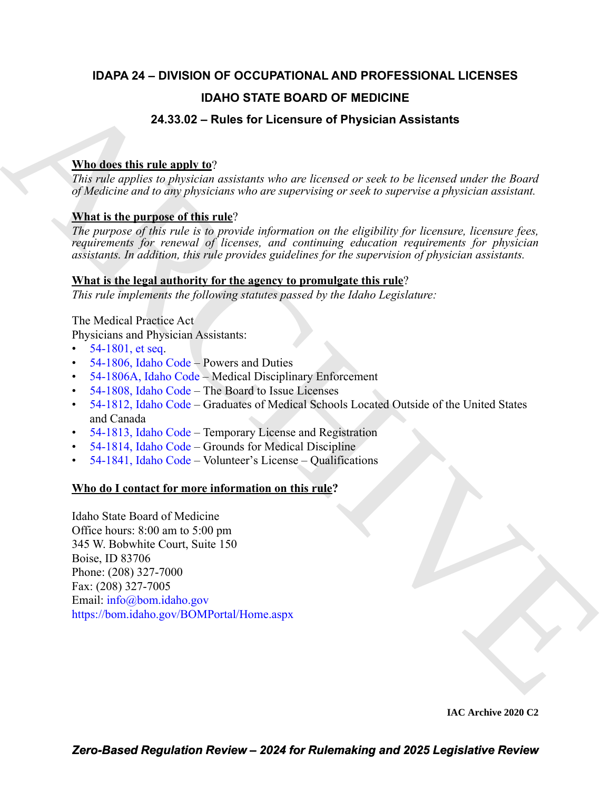# **IDAPA 24 – DIVISION OF OCCUPATIONAL AND PROFESSIONAL LICENSES**

# **IDAHO STATE BOARD OF MEDICINE**

# **24.33.02 – Rules for Licensure of Physician Assistants**

# **Who does this rule apply to**?

*This rule applies to physician assistants who are licensed or seek to be licensed under the Board of Medicine and to any physicians who are supervising or seek to supervise a physician assistant.* 

# **What is the purpose of this rule**?

*The purpose of this rule is to provide information on the eligibility for licensure, licensure fees, requirements for renewal of licenses, and continuing education requirements for physician assistants. In addition, this rule provides guidelines for the supervision of physician assistants.*

## **What is the legal authority for the agency to promulgate this rule**?

*This rule implements the following statutes passed by the Idaho Legislature:*

The Medical Practice Act

Physicians and Physician Assistants:

- 54-1801, et seq.
- $\cdot$  54-1806, Idaho Code Powers and Duties
- 54-1806A, Idaho Code Medical Disciplinary Enforcement
- 54-1808, Idaho Code The Board to Issue Licenses
- 54-1812, Idaho Code Graduates of Medical Schools Located Outside of the United States and Canada
- 54-1813, Idaho Code Temporary License and Registration
- 54-1814, Idaho Code Grounds for Medical Discipline
- $\cdot$  54-1841, Idaho Code Volunteer's License Qualifications

# **Who do I contact for more information on this rule?**

**IDAHO STATE BOARD OF MEDI[C](https://legislature.idaho.gov/statutesrules/idstat/Title54/T54CH18/SECT54-1806A/)INE**<br>
24.33.32 – Rules for Licenstary of Physician Assistants<br>
This role applies to gheaten a custom when are literated or such to be licensed order the Ruled<br>
70 Folk can be any physician when Idaho State Board of Medicine Office hours: 8:00 am to 5:00 pm 345 W. Bobwhite Court, Suite 150 Boise, ID 83706 Phone: (208) 327-7000 Fax: (208) 327-7005 Email: info@bom.idaho.gov https://bom.idaho.gov/BOMPortal/Home.aspx

**IAC Archive 2020 C2**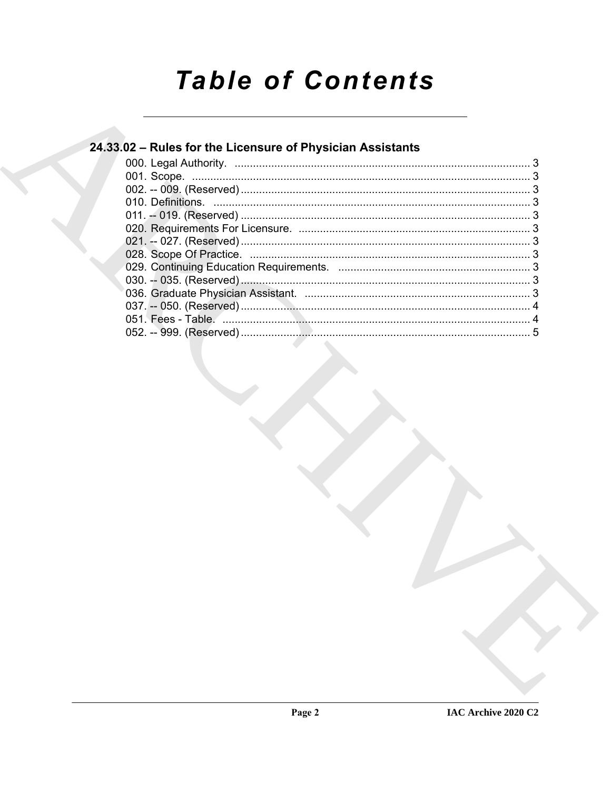# **Table of Contents**

# 24.33.02 - Rules for the Licensure of Physician Assistants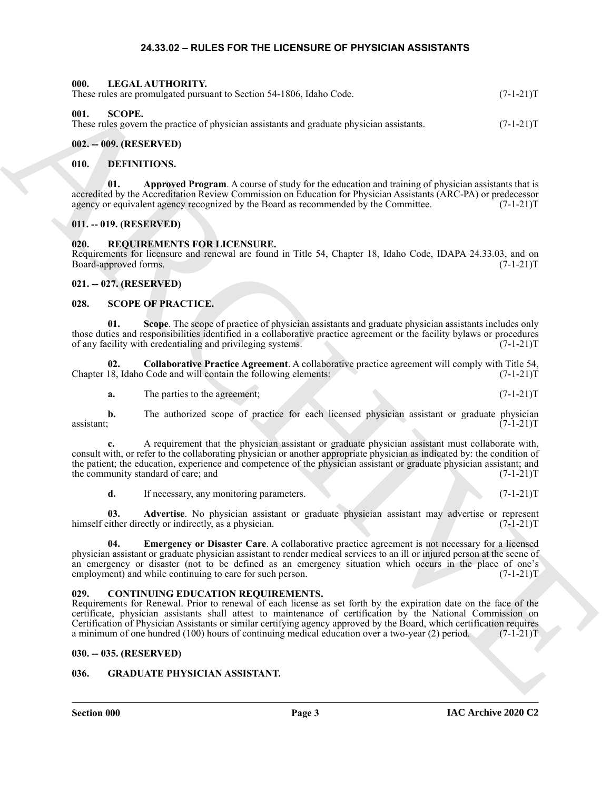#### **24.33.02 – RULES FOR THE LICENSURE OF PHYSICIAN ASSISTANTS**

|                               | LEUALAU HIUNII I.<br>These rules are promulgated pursuant to Section 54-1806, Idaho Code.                                                                                                                                                                                                                                                                                                                                                                                                                    | $(7-1-21)T$     |
|-------------------------------|--------------------------------------------------------------------------------------------------------------------------------------------------------------------------------------------------------------------------------------------------------------------------------------------------------------------------------------------------------------------------------------------------------------------------------------------------------------------------------------------------------------|-----------------|
| 001.<br><b>SCOPE.</b>         | These rules govern the practice of physician assistants and graduate physician assistants.                                                                                                                                                                                                                                                                                                                                                                                                                   | $(7-1-21)T$     |
| 002. -- 009. (RESERVED)       |                                                                                                                                                                                                                                                                                                                                                                                                                                                                                                              |                 |
| 010.                          | <b>DEFINITIONS.</b>                                                                                                                                                                                                                                                                                                                                                                                                                                                                                          |                 |
| 01.                           | Approved Program. A course of study for the education and training of physician assistants that is<br>accredited by the Accreditation Review Commission on Education for Physician Assistants (ARC-PA) or predecessor<br>agency or equivalent agency recognized by the Board as recommended by the Committee.                                                                                                                                                                                                | $(7-1-21)T$     |
| 011. -- 019. (RESERVED)       |                                                                                                                                                                                                                                                                                                                                                                                                                                                                                                              |                 |
| 020.<br>Board-approved forms. | REQUIREMENTS FOR LICENSURE.<br>Requirements for licensure and renewal are found in Title 54, Chapter 18, Idaho Code, IDAPA 24.33.03, and on                                                                                                                                                                                                                                                                                                                                                                  | $(7-1-21)T$     |
| 021. -- 027. (RESERVED)       |                                                                                                                                                                                                                                                                                                                                                                                                                                                                                                              |                 |
| 028.                          | <b>SCOPE OF PRACTICE.</b>                                                                                                                                                                                                                                                                                                                                                                                                                                                                                    |                 |
| 01.                           | Scope. The scope of practice of physician assistants and graduate physician assistants includes only<br>those duties and responsibilities identified in a collaborative practice agreement or the facility bylaws or procedures<br>of any facility with credentialing and privileging systems.                                                                                                                                                                                                               | $(7-1-21)T$     |
| 02.                           | Collaborative Practice Agreement. A collaborative practice agreement will comply with Title 54,<br>Chapter 18, Idaho Code and will contain the following elements:                                                                                                                                                                                                                                                                                                                                           | $(7-1-21)T$     |
| a.                            | The parties to the agreement;                                                                                                                                                                                                                                                                                                                                                                                                                                                                                | $(7-1-21)T$     |
| $\mathbf{b}$ .<br>assistant;  | The authorized scope of practice for each licensed physician assistant or graduate physician                                                                                                                                                                                                                                                                                                                                                                                                                 | $(7 - 1 - 21)T$ |
|                               | A requirement that the physician assistant or graduate physician assistant must collaborate with,<br>consult with, or refer to the collaborating physician or another appropriate physician as indicated by: the condition of<br>the patient; the education, experience and competence of the physician assistant or graduate physician assistant; and<br>the community standard of care; and                                                                                                                | $(7-1-21)T$     |
| d.                            | If necessary, any monitoring parameters.                                                                                                                                                                                                                                                                                                                                                                                                                                                                     | $(7-1-21)T$     |
| 03.                           | Advertise. No physician assistant or graduate physician assistant may advertise or represent<br>himself either directly or indirectly, as a physician.                                                                                                                                                                                                                                                                                                                                                       | $(7-1-21)T$     |
| 04.                           | Emergency or Disaster Care. A collaborative practice agreement is not necessary for a licensed<br>physician assistant or graduate physician assistant to render medical services to an ill or injured person at the scene of<br>an emergency or disaster (not to be defined as an emergency situation which occurs in the place of one's<br>employment) and while continuing to care for such person.                                                                                                        | $(7-1-21)T$     |
| 029.                          | <b>CONTINUING EDUCATION REQUIREMENTS.</b><br>Requirements for Renewal. Prior to renewal of each license as set forth by the expiration date on the face of the<br>certificate, physician assistants shall attest to maintenance of certification by the National Commission on<br>Certification of Physician Assistants or similar certifying agency approved by the Board, which certification requires<br>a minimum of one hundred (100) hours of continuing medical education over a two-year (2) period. | $(7-1-21)T$     |
| 030. -- 035. (RESERVED)       |                                                                                                                                                                                                                                                                                                                                                                                                                                                                                                              |                 |
| 036.                          | <b>GRADUATE PHYSICIAN ASSISTANT.</b>                                                                                                                                                                                                                                                                                                                                                                                                                                                                         |                 |
|                               |                                                                                                                                                                                                                                                                                                                                                                                                                                                                                                              |                 |

#### <span id="page-2-3"></span>**002. -- 009. (RESERVED)**

<span id="page-2-18"></span><span id="page-2-16"></span><span id="page-2-2"></span><span id="page-2-1"></span><span id="page-2-0"></span>**000. LEGAL AUTHORITY.**

#### <span id="page-2-14"></span><span id="page-2-13"></span><span id="page-2-4"></span>**010. DEFINITIONS.**

#### <span id="page-2-5"></span>**011. -- 019. (RESERVED)**

#### <span id="page-2-17"></span><span id="page-2-6"></span>**020. REQUIREMENTS FOR LICENSURE.**

#### <span id="page-2-7"></span>**021. -- 027. (RESERVED)**

#### <span id="page-2-23"></span><span id="page-2-19"></span><span id="page-2-8"></span>**028. SCOPE OF PRACTICE.**

<span id="page-2-21"></span>

| a. | The parties to the agreement; |  | $(7-1-21)T$ |
|----|-------------------------------|--|-------------|
|----|-------------------------------|--|-------------|

### <span id="page-2-22"></span><span id="page-2-20"></span><span id="page-2-12"></span><span id="page-2-9"></span>**029. CONTINUING EDUCATION REQUIREMENTS.**

#### <span id="page-2-10"></span>**030. -- 035. (RESERVED)**

#### <span id="page-2-15"></span><span id="page-2-11"></span>**036. GRADUATE PHYSICIAN ASSISTANT.**

**Section 000 Page 3**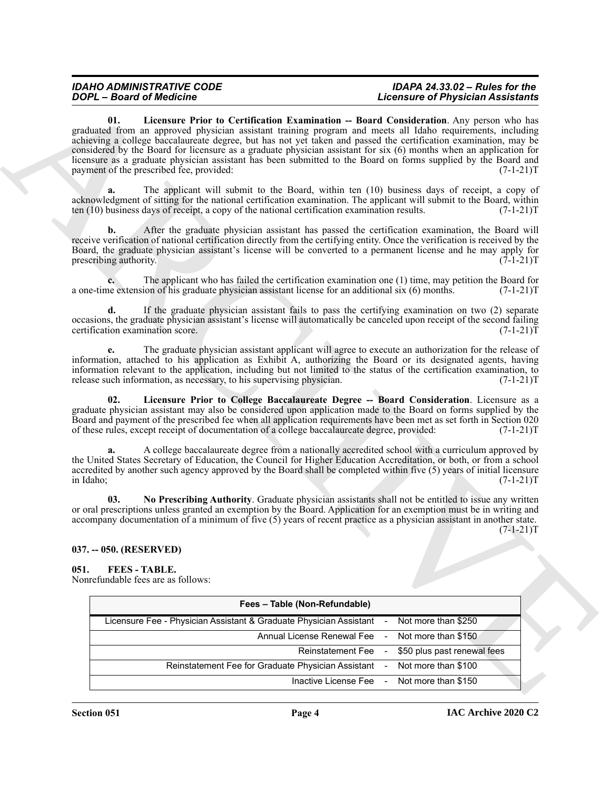#### <span id="page-3-3"></span>*IDAHO ADMINISTRATIVE CODE IDAPA 24.33.02 – Rules for the Licensure of Physician Assistants*

#### <span id="page-3-5"></span><span id="page-3-4"></span><span id="page-3-0"></span>**037. -- 050. (RESERVED)**

#### <span id="page-3-2"></span><span id="page-3-1"></span>**051. FEES - TABLE.**

| <b>DOPL</b> - Board of Medicine                                                                                                                                                                                                                                                                                                                                                                                                                                                                                            | <b>Licensure of Physician Assistants</b>                                                                            |
|----------------------------------------------------------------------------------------------------------------------------------------------------------------------------------------------------------------------------------------------------------------------------------------------------------------------------------------------------------------------------------------------------------------------------------------------------------------------------------------------------------------------------|---------------------------------------------------------------------------------------------------------------------|
| 01.<br>graduated from an approved physician assistant training program and meets all Idaho requirements, including<br>achieving a college baccalaureate degree, but has not yet taken and passed the certification examination, may be<br>considered by the Board for licensure as a graduate physician assistant for six (6) months when an application for<br>licensure as a graduate physician assistant has been submitted to the Board on forms supplied by the Board and<br>payment of the prescribed fee, provided: | Licensure Prior to Certification Examination -- Board Consideration. Any person who has<br>$(7-1-21)T$              |
| a.<br>acknowledgment of sitting for the national certification examination. The applicant will submit to the Board, within<br>ten (10) business days of receipt, a copy of the national certification examination results.                                                                                                                                                                                                                                                                                                 | The applicant will submit to the Board, within ten (10) business days of receipt, a copy of<br>$(7-1-21)T$          |
| b.<br>receive verification of national certification directly from the certifying entity. Once the verification is received by the<br>Board, the graduate physician assistant's license will be converted to a permanent license and he may apply for<br>prescribing authority.                                                                                                                                                                                                                                            | After the graduate physician assistant has passed the certification examination, the Board will<br>$(7-1-21)T$      |
| a one-time extension of his graduate physician assistant license for an additional six (6) months.                                                                                                                                                                                                                                                                                                                                                                                                                         | The applicant who has failed the certification examination one (1) time, may petition the Board for<br>$(7-1-21)T$  |
| d.<br>occasions, the graduate physician assistant's license will automatically be canceled upon receipt of the second failing<br>certification examination score.                                                                                                                                                                                                                                                                                                                                                          | If the graduate physician assistant fails to pass the certifying examination on two (2) separate<br>$(7-1-21)T$     |
| information, attached to his application as Exhibit A, authorizing the Board or its designated agents, having<br>information relevant to the application, including but not limited to the status of the certification examination, to<br>release such information, as necessary, to his supervising physician.                                                                                                                                                                                                            | The graduate physician assistant applicant will agree to execute an authorization for the release of<br>$(7-1-21)T$ |
| 02.<br>graduate physician assistant may also be considered upon application made to the Board on forms supplied by the<br>Board and payment of the prescribed fee when all application requirements have been met as set forth in Section 020<br>of these rules, except receipt of documentation of a college baccalaureate degree, provided:                                                                                                                                                                              | Licensure Prior to College Baccalaureate Degree -- Board Consideration. Licensure as a<br>$(7-1-21)T$               |
| a.<br>the United States Secretary of Education, the Council for Higher Education Accreditation, or both, or from a school<br>accredited by another such agency approved by the Board shall be completed within five (5) years of initial licensure<br>in Idaho;                                                                                                                                                                                                                                                            | A college baccalaureate degree from a nationally accredited school with a curriculum approved by<br>$(7-1-21)T$     |
| 03.<br>or oral prescriptions unless granted an exemption by the Board. Application for an exemption must be in writing and<br>accompany documentation of a minimum of five $(5)$ years of recent practice as a physician assistant in another state.                                                                                                                                                                                                                                                                       | No Prescribing Authority. Graduate physician assistants shall not be entitled to issue any written<br>$(7-1-21)T$   |
| 037. -- 050. (RESERVED)                                                                                                                                                                                                                                                                                                                                                                                                                                                                                                    |                                                                                                                     |
| <b>FEES-TABLE.</b><br>051.<br>Nonrefundable fees are as follows:                                                                                                                                                                                                                                                                                                                                                                                                                                                           |                                                                                                                     |
| Fees - Table (Non-Refundable)                                                                                                                                                                                                                                                                                                                                                                                                                                                                                              |                                                                                                                     |
| Licensure Fee - Physician Assistant & Graduate Physician Assistant                                                                                                                                                                                                                                                                                                                                                                                                                                                         | Not more than \$250                                                                                                 |
| Annual License Renewal Fee                                                                                                                                                                                                                                                                                                                                                                                                                                                                                                 | Not more than \$150                                                                                                 |
|                                                                                                                                                                                                                                                                                                                                                                                                                                                                                                                            | Reinstatement Fee<br>\$50 plus past renewal fees                                                                    |
| Reinstatement Fee for Graduate Physician Assistant                                                                                                                                                                                                                                                                                                                                                                                                                                                                         | Not more than \$100                                                                                                 |
|                                                                                                                                                                                                                                                                                                                                                                                                                                                                                                                            | Inactive License Fee<br>Not more than \$150                                                                         |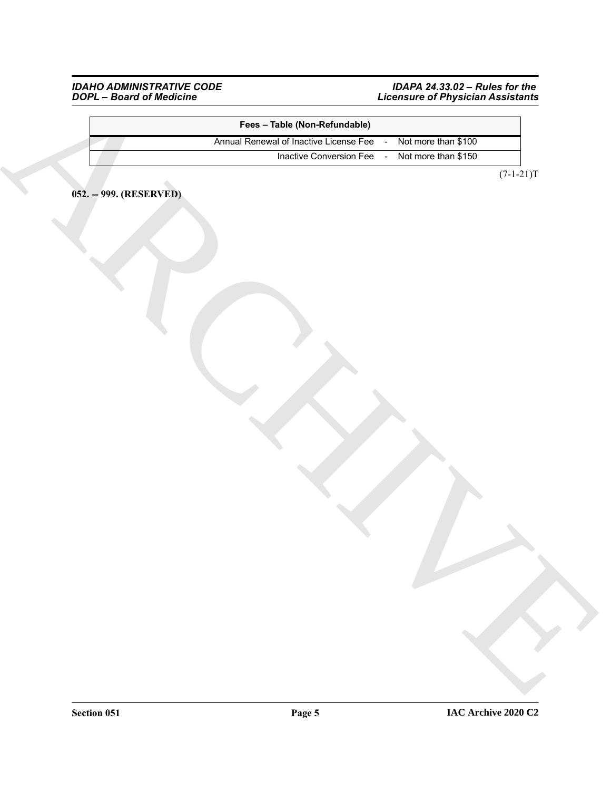<span id="page-4-0"></span>*IDAHO ADMINISTRATIVE CODE IDAPA 24.33.02 – Rules for the DOPL – Board of Medicine Licensure of Physician Assistants*

|                         | Fees - Table (Non-Refundable)          |                                                    |
|-------------------------|----------------------------------------|----------------------------------------------------|
|                         | Annual Renewal of Inactive License Fee | Not more than \$100<br>$\sim$                      |
|                         | Inactive Conversion Fee                | Not more than \$150<br>$\mathcal{L}_{\mathcal{A}}$ |
|                         |                                        | $(7-1-21)T$                                        |
|                         |                                        |                                                    |
| 052. -- 999. (RESERVED) |                                        |                                                    |
|                         |                                        |                                                    |
|                         |                                        |                                                    |
|                         |                                        |                                                    |
|                         |                                        |                                                    |
|                         |                                        |                                                    |
|                         |                                        |                                                    |
|                         |                                        |                                                    |
|                         |                                        |                                                    |
|                         |                                        |                                                    |
|                         |                                        |                                                    |
|                         |                                        |                                                    |
|                         |                                        |                                                    |
|                         |                                        |                                                    |
|                         |                                        |                                                    |
|                         |                                        |                                                    |
|                         |                                        |                                                    |
|                         |                                        |                                                    |
|                         |                                        |                                                    |
|                         |                                        |                                                    |
|                         |                                        |                                                    |
|                         |                                        |                                                    |
|                         |                                        |                                                    |
|                         |                                        |                                                    |
|                         |                                        |                                                    |
|                         |                                        |                                                    |
|                         |                                        |                                                    |
|                         |                                        |                                                    |
|                         |                                        |                                                    |
|                         |                                        |                                                    |
|                         |                                        |                                                    |
|                         |                                        |                                                    |